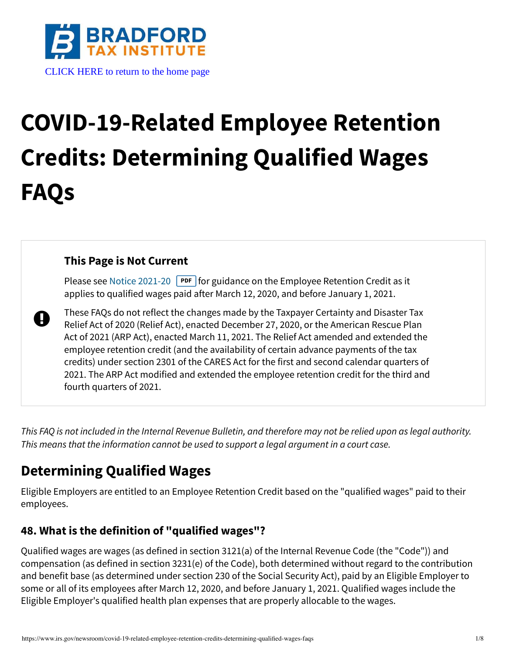

# **COVID-19-Related Employee Retention Credits: Determining Qualified Wages FAQs**

#### **This Page is Not Current**

Please see [Notice 2021-20](https://www.irs.gov/pub/irs-drop/n-21-20.pdf) **PDF** for guidance on the Employee Retention Credit as it applies to qualified wages paid after March 12, 2020, and before January 1, 2021.

A These FAQs do not reflect the changes made by the Taxpayer Certainty and Disaster Tax Relief Act of 2020 (Relief Act), enacted December 27, 2020, or the American Rescue Plan Act of 2021 (ARP Act), enacted March 11, 2021. The Relief Act amended and extended the employee retention credit (and the availability of certain advance payments of the tax credits) under section 2301 of the CARES Act for the first and second calendar quarters of 2021. The ARP Act modified and extended the employee retention credit for the third and fourth quarters of 2021.

This FAQ is not included in the Internal Revenue Bulletin, and therefore may not be relied upon as legal authority. This means that the information cannot be used to support a legal argument in a court case.

# **Determining Qualified Wages**

Eligible Employers are entitled to an Employee Retention Credit based on the "qualified wages" paid to their employees.

#### **48. What is the definition of "qualified wages"?**

Qualified wages are wages (as defined in section 3121(a) of the Internal Revenue Code (the "Code")) and compensation (as defined in section 3231(e) of the Code), both determined without regard to the contribution and benefit base (as determined under section 230 of the Social Security Act), paid by an Eligible Employer to some or all of its employees after March 12, 2020, and before January 1, 2021. Qualified wages include the Eligible Employer's qualified health plan expenses that are properly allocable to the wages.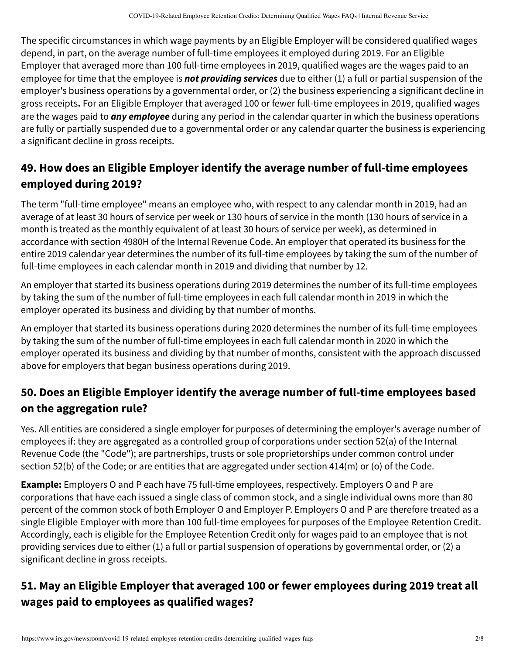The specific circumstances in which wage payments by an Eligible Employer will be considered qualified wages depend, in part, on the average number of full-time employees it employed during 2019. For an Eligible Employer that averaged more than 100 full-time employees in 2019, qualified wages are the wages paid to an employee for time that the employee is **not providing services** due to either (1) a full or partial suspension of the employer's business operations by a governmental order, or (2) the business experiencing a significant decline in gross receipts**.** For an Eligible Employer that averaged 100 or fewer full-time employees in 2019, qualified wages are the wages paid to **any employee** during any period in the calendar quarter in which the business operations are fully or partially suspended due to a governmental order or any calendar quarter the business is experiencing a significant decline in gross receipts.

## **49. How does an Eligible Employer identify the average number of full-time employees employed during 2019?**

The term "full-time employee" means an employee who, with respect to any calendar month in 2019, had an average of at least 30 hours of service per week or 130 hours of service in the month (130 hours of service in a month is treated as the monthly equivalent of at least 30 hours of service per week), as determined in accordance with section 4980H of the Internal Revenue Code. An employer that operated its business for the entire 2019 calendar year determines the number of its full-time employees by taking the sum of the number of full-time employees in each calendar month in 2019 and dividing that number by 12.

An employer that started its business operations during 2019 determines the number of its full-time employees by taking the sum of the number of full-time employees in each full calendar month in 2019 in which the employer operated its business and dividing by that number of months.

An employer that started its business operations during 2020 determines the number of its full-time employees by taking the sum of the number of full-time employees in each full calendar month in 2020 in which the employer operated its business and dividing by that number of months, consistent with the approach discussed above for employers that began business operations during 2019.

# **50. Does an Eligible Employer identify the average number of full-time employees based on the aggregation rule?**

Yes. All entities are considered a single employer for purposes of determining the employer's average number of employees if: they are aggregated as a controlled group of corporations under section 52(a) of the Internal Revenue Code (the "Code"); are partnerships, trusts or sole proprietorships under common control under section 52(b) of the Code; or are entities that are aggregated under section 414(m) or (o) of the Code.

**Example:** Employers O and P each have 75 full-time employees, respectively. Employers O and P are corporations that have each issued a single class of common stock, and a single individual owns more than 80 percent of the common stock of both Employer O and Employer P. Employers O and P are therefore treated as a single Eligible Employer with more than 100 full-time employees for purposes of the Employee Retention Credit. Accordingly, each is eligible for the Employee Retention Credit only for wages paid to an employee that is not providing services due to either (1) a full or partial suspension of operations by governmental order, or (2) a significant decline in gross receipts.

# **51. May an Eligible Employer that averaged 100 or fewer employees during 2019 treat all wages paid to employees as qualified wages?**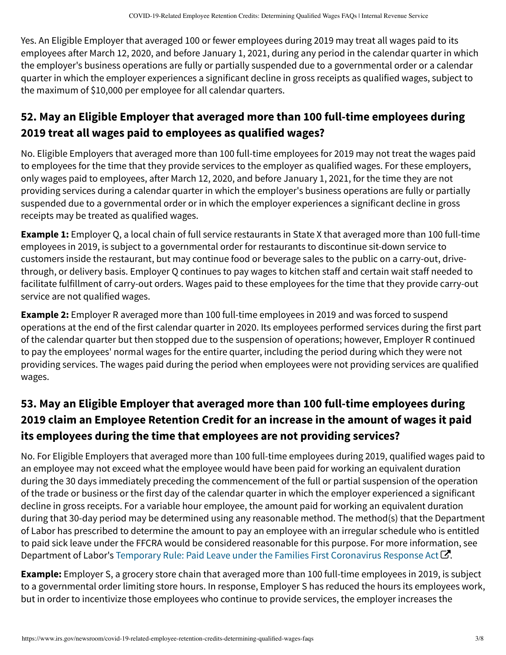Yes. An Eligible Employer that averaged 100 or fewer employees during 2019 may treat all wages paid to its employees after March 12, 2020, and before January 1, 2021, during any period in the calendar quarter in which the employer's business operations are fully or partially suspended due to a governmental order or a calendar quarter in which the employer experiences a significant decline in gross receipts as qualified wages, subject to the maximum of \$10,000 per employee for all calendar quarters.

# **52. May an Eligible Employer that averaged more than 100 full-time employees during 2019 treat all wages paid to employees as qualified wages?**

No. Eligible Employers that averaged more than 100 full-time employees for 2019 may not treat the wages paid to employees for the time that they provide services to the employer as qualified wages. For these employers, only wages paid to employees, after March 12, 2020, and before January 1, 2021, for the time they are not providing services during a calendar quarter in which the employer's business operations are fully or partially suspended due to a governmental order or in which the employer experiences a significant decline in gross receipts may be treated as qualified wages.

**Example 1:** Employer Q, a local chain of full service restaurants in State X that averaged more than 100 full-time employees in 2019, is subject to a governmental order for restaurants to discontinue sit-down service to customers inside the restaurant, but may continue food or beverage sales to the public on a carry-out, drivethrough, or delivery basis. Employer Q continues to pay wages to kitchen staff and certain wait staff needed to facilitate fulfillment of carry-out orders. Wages paid to these employees for the time that they provide carry-out service are not qualified wages.

**Example 2:** Employer R averaged more than 100 full-time employees in 2019 and was forced to suspend operations at the end of the first calendar quarter in 2020. Its employees performed services during the first part of the calendar quarter but then stopped due to the suspension of operations; however, Employer R continued to pay the employees' normal wages for the entire quarter, including the period during which they were not providing services. The wages paid during the period when employees were not providing services are qualified wages.

# **53. May an Eligible Employer that averaged more than 100 full-time employees during 2019 claim an Employee Retention Credit for an increase in the amount of wages it paid its employees during the time that employees are not providing services?**

No. For Eligible Employers that averaged more than 100 full-time employees during 2019, qualified wages paid to an employee may not exceed what the employee would have been paid for working an equivalent duration during the 30 days immediately preceding the commencement of the full or partial suspension of the operation of the trade or business or the first day of the calendar quarter in which the employer experienced a significant decline in gross receipts. For a variable hour employee, the amount paid for working an equivalent duration during that 30-day period may be determined using any reasonable method. The method(s) that the Department of Labor has prescribed to determine the amount to pay an employee with an irregular schedule who is entitled to paid sick leave under the FFCRA would be considered reasonable for this purpose. For more information, see Department of Labor's Temporary Rule: Paid Leave under the Families First Coronavirus Response Act  $\bm{\mathcal{C}}$ [.](https://www.dol.gov/agencies/whd/ffcra)

**Example:** Employer S, a grocery store chain that averaged more than 100 full-time employees in 2019, is subject to a governmental order limiting store hours. In response, Employer S has reduced the hours its employees work, but in order to incentivize those employees who continue to provide services, the employer increases the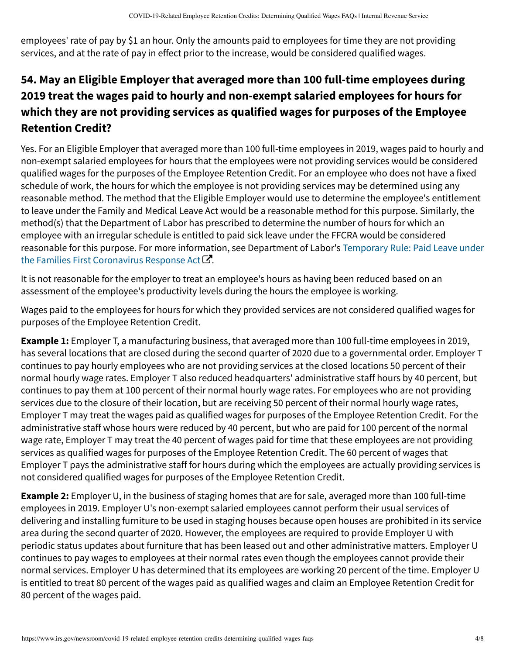employees' rate of pay by \$1 an hour. Only the amounts paid to employees for time they are not providing services, and at the rate of pay in effect prior to the increase, would be considered qualified wages.

## **54. May an Eligible Employer that averaged more than 100 full-time employees during 2019 treat the wages paid to hourly and non-exempt salaried employees for hours for which they are not providing services as qualified wages for purposes of the Employee Retention Credit?**

Yes. For an Eligible Employer that averaged more than 100 full-time employees in 2019, wages paid to hourly and non-exempt salaried employees for hours that the employees were not providing services would be considered qualified wages for the purposes of the Employee Retention Credit. For an employee who does not have a fixed schedule of work, the hours for which the employee is not providing services may be determined using any reasonable method. The method that the Eligible Employer would use to determine the employee's entitlement to leave under the Family and Medical Leave Act would be a reasonable method for this purpose. Similarly, the method(s) that the Department of Labor has prescribed to determine the number of hours for which an employee with an irregular schedule is entitled to paid sick leave under the FFCRA would be considered [reasonable for this purpose. For more information, see Department of Labor's](https://www.dol.gov/agencies/whd/ffcra)  Temporary Rule: Paid Leave under the Families First Coronavirus Response Act  ${\mathcal C}$ .

It is not reasonable for the employer to treat an employee's hours as having been reduced based on an assessment of the employee's productivity levels during the hours the employee is working.

Wages paid to the employees for hours for which they provided services are not considered qualified wages for purposes of the Employee Retention Credit.

**Example 1:** Employer T, a manufacturing business, that averaged more than 100 full-time employees in 2019, has several locations that are closed during the second quarter of 2020 due to a governmental order. Employer T continues to pay hourly employees who are not providing services at the closed locations 50 percent of their normal hourly wage rates. Employer T also reduced headquarters' administrative staff hours by 40 percent, but continues to pay them at 100 percent of their normal hourly wage rates. For employees who are not providing services due to the closure of their location, but are receiving 50 percent of their normal hourly wage rates, Employer T may treat the wages paid as qualified wages for purposes of the Employee Retention Credit. For the administrative staff whose hours were reduced by 40 percent, but who are paid for 100 percent of the normal wage rate, Employer T may treat the 40 percent of wages paid for time that these employees are not providing services as qualified wages for purposes of the Employee Retention Credit. The 60 percent of wages that Employer T pays the administrative staff for hours during which the employees are actually providing services is not considered qualified wages for purposes of the Employee Retention Credit.

**Example 2:** Employer U, in the business of staging homes that are for sale, averaged more than 100 full-time employees in 2019. Employer U's non-exempt salaried employees cannot perform their usual services of delivering and installing furniture to be used in staging houses because open houses are prohibited in its service area during the second quarter of 2020. However, the employees are required to provide Employer U with periodic status updates about furniture that has been leased out and other administrative matters. Employer U continues to pay wages to employees at their normal rates even though the employees cannot provide their normal services. Employer U has determined that its employees are working 20 percent of the time. Employer U is entitled to treat 80 percent of the wages paid as qualified wages and claim an Employee Retention Credit for 80 percent of the wages paid.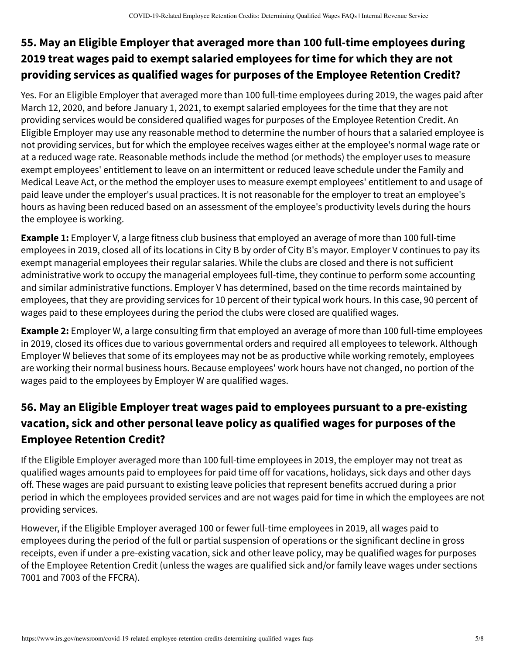#### **55. May an Eligible Employer that averaged more than 100 full-time employees during 2019 treat wages paid to exempt salaried employees for time for which they are not providing services as qualified wages for purposes of the Employee Retention Credit?**

Yes. For an Eligible Employer that averaged more than 100 full-time employees during 2019, the wages paid after March 12, 2020, and before January 1, 2021, to exempt salaried employees for the time that they are not providing services would be considered qualified wages for purposes of the Employee Retention Credit. An Eligible Employer may use any reasonable method to determine the number of hours that a salaried employee is not providing services, but for which the employee receives wages either at the employee's normal wage rate or at a reduced wage rate. Reasonable methods include the method (or methods) the employer uses to measure exempt employees' entitlement to leave on an intermittent or reduced leave schedule under the Family and Medical Leave Act, or the method the employer uses to measure exempt employees' entitlement to and usage of paid leave under the employer's usual practices. It is not reasonable for the employer to treat an employee's hours as having been reduced based on an assessment of the employee's productivity levels during the hours the employee is working.

**Example 1:** Employer V, a large fitness club business that employed an average of more than 100 full-time employees in 2019, closed all of its locations in City B by order of City B's mayor. Employer V continues to pay its exempt managerial employees their regular salaries. While the clubs are closed and there is not sufficient administrative work to occupy the managerial employees full-time, they continue to perform some accounting and similar administrative functions. Employer V has determined, based on the time records maintained by employees, that they are providing services for 10 percent of their typical work hours. In this case, 90 percent of wages paid to these employees during the period the clubs were closed are qualified wages.

**Example 2:** Employer W, a large consulting firm that employed an average of more than 100 full-time employees in 2019, closed its offices due to various governmental orders and required all employees to telework. Although Employer W believes that some of its employees may not be as productive while working remotely, employees are working their normal business hours. Because employees' work hours have not changed, no portion of the wages paid to the employees by Employer W are qualified wages.

#### **56. May an Eligible Employer treat wages paid to employees pursuant to a pre-existing vacation, sick and other personal leave policy as qualified wages for purposes of the Employee Retention Credit?**

If the Eligible Employer averaged more than 100 full-time employees in 2019, the employer may not treat as qualified wages amounts paid to employees for paid time off for vacations, holidays, sick days and other days off. These wages are paid pursuant to existing leave policies that represent benefits accrued during a prior period in which the employees provided services and are not wages paid for time in which the employees are not providing services.

However, if the Eligible Employer averaged 100 or fewer full-time employees in 2019, all wages paid to employees during the period of the full or partial suspension of operations or the significant decline in gross receipts, even if under a pre-existing vacation, sick and other leave policy, may be qualified wages for purposes of the Employee Retention Credit (unless the wages are qualified sick and/or family leave wages under sections 7001 and 7003 of the FFCRA).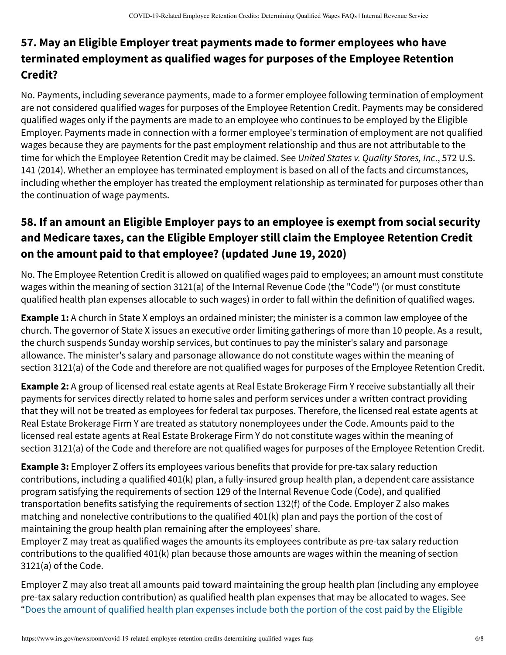#### **57. May an Eligible Employer treat payments made to former employees who have terminated employment as qualified wages for purposes of the Employee Retention Credit?**

No. Payments, including severance payments, made to a former employee following termination of employment are not considered qualified wages for purposes of the Employee Retention Credit. Payments may be considered qualified wages only if the payments are made to an employee who continues to be employed by the Eligible Employer. Payments made in connection with a former employee's termination of employment are not qualified wages because they are payments for the past employment relationship and thus are not attributable to the time for which the Employee Retention Credit may be claimed. See United States v. Quality Stores, Inc., 572 U.S. 141 (2014). Whether an employee has terminated employment is based on all of the facts and circumstances, including whether the employer has treated the employment relationship as terminated for purposes other than the continuation of wage payments.

# **58. If an amount an Eligible Employer pays to an employee is exempt from social security and Medicare taxes, can the Eligible Employer still claim the Employee Retention Credit on the amount paid to that employee? (updated June 19, 2020)**

No. The Employee Retention Credit is allowed on qualified wages paid to employees; an amount must constitute wages within the meaning of section 3121(a) of the Internal Revenue Code (the "Code") (or must constitute qualified health plan expenses allocable to such wages) in order to fall within the definition of qualified wages.

**Example 1:** A church in State X employs an ordained minister; the minister is a common law employee of the church. The governor of State X issues an executive order limiting gatherings of more than 10 people. As a result, the church suspends Sunday worship services, but continues to pay the minister's salary and parsonage allowance. The minister's salary and parsonage allowance do not constitute wages within the meaning of section 3121(a) of the Code and therefore are not qualified wages for purposes of the Employee Retention Credit.

**Example 2:** A group of licensed real estate agents at Real Estate Brokerage Firm Y receive substantially all their payments for services directly related to home sales and perform services under a written contract providing that they will not be treated as employees for federal tax purposes. Therefore, the licensed real estate agents at Real Estate Brokerage Firm Y are treated as statutory nonemployees under the Code. Amounts paid to the licensed real estate agents at Real Estate Brokerage Firm Y do not constitute wages within the meaning of section 3121(a) of the Code and therefore are not qualified wages for purposes of the Employee Retention Credit.

**Example 3:** Employer Z offers its employees various benefits that provide for pre-tax salary reduction contributions, including a qualified 401(k) plan, a fully-insured group health plan, a dependent care assistance program satisfying the requirements of section 129 of the Internal Revenue Code (Code), and qualified transportation benefits satisfying the requirements of section 132(f) of the Code. Employer Z also makes matching and nonelective contributions to the qualified 401(k) plan and pays the portion of the cost of maintaining the group health plan remaining after the employees' share.

Employer Z may treat as qualified wages the amounts its employees contribute as pre-tax salary reduction contributions to the qualified 401(k) plan because those amounts are wages within the meaning of section 3121(a) of the Code.

Employer Z may also treat all amounts paid toward maintaining the group health plan (including any employee pre-tax salary reduction contribution) as qualified health plan expenses that may be allocated to wages. See ["Does the amount of qualified health plan expenses include both the portion of the cost paid by the Eligible](https://www.irs.gov/newsroom/covid-19-related-employee-retention-credits-amount-of-allocable-qualified-health-plan-expenses-faqs#does-amount-qualified-health-plan-expenses-include-both-portion-cost-paid-by-eligible-employer-and-portion)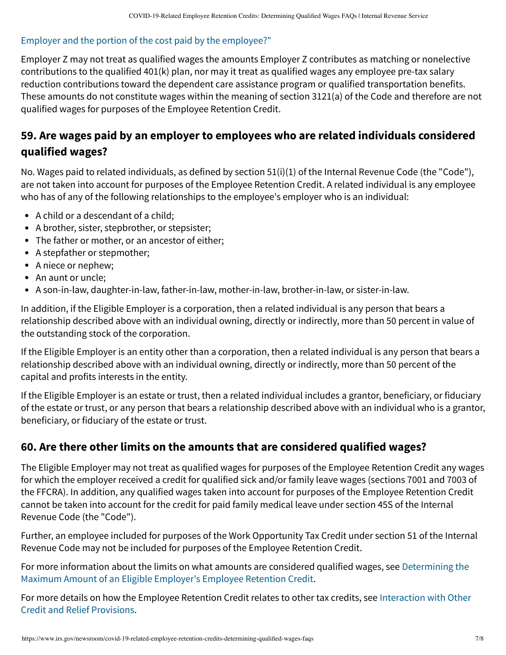#### [Employer and the portion of the cost paid by the employee?"](https://www.irs.gov/newsroom/covid-19-related-employee-retention-credits-amount-of-allocable-qualified-health-plan-expenses-faqs#does-amount-qualified-health-plan-expenses-include-both-portion-cost-paid-by-eligible-employer-and-portion)

Employer Z may not treat as qualified wages the amounts Employer Z contributes as matching or nonelective contributions to the qualified 401(k) plan, nor may it treat as qualified wages any employee pre-tax salary reduction contributions toward the dependent care assistance program or qualified transportation benefits. These amounts do not constitute wages within the meaning of section 3121(a) of the Code and therefore are not qualified wages for purposes of the Employee Retention Credit.

#### **59. Are wages paid by an employer to employees who are related individuals considered qualified wages?**

No. Wages paid to related individuals, as defined by section 51(i)(1) of the Internal Revenue Code (the "Code"), are not taken into account for purposes of the Employee Retention Credit. A related individual is any employee who has of any of the following relationships to the employee's employer who is an individual:

- A child or a descendant of a child;
- A brother, sister, stepbrother, or stepsister;
- The father or mother, or an ancestor of either;
- A stepfather or stepmother;
- A niece or nephew;
- An aunt or uncle;
- A son-in-law, daughter-in-law, father-in-law, mother-in-law, brother-in-law, or sister-in-law.

In addition, if the Eligible Employer is a corporation, then a related individual is any person that bears a relationship described above with an individual owning, directly or indirectly, more than 50 percent in value of the outstanding stock of the corporation.

If the Eligible Employer is an entity other than a corporation, then a related individual is any person that bears a relationship described above with an individual owning, directly or indirectly, more than 50 percent of the capital and profits interests in the entity.

If the Eligible Employer is an estate or trust, then a related individual includes a grantor, beneficiary, or fiduciary of the estate or trust, or any person that bears a relationship described above with an individual who is a grantor, beneficiary, or fiduciary of the estate or trust.

#### **60. Are there other limits on the amounts that are considered qualified wages?**

The Eligible Employer may not treat as qualified wages for purposes of the Employee Retention Credit any wages for which the employer received a credit for qualified sick and/or family leave wages (sections 7001 and 7003 of the FFCRA). In addition, any qualified wages taken into account for purposes of the Employee Retention Credit cannot be taken into account for the credit for paid family medical leave under section 45S of the Internal Revenue Code (the "Code").

Further, an employee included for purposes of the Work Opportunity Tax Credit under section 51 of the Internal Revenue Code may not be included for purposes of the Employee Retention Credit.

[For more information about the limits on what amounts are considered qualified wages, see Determining the](https://www.irs.gov/newsroom/covid-19-related-employee-retention-credits-determining-when-an-employer-is-considered-to-have-a-significant-decline-in-gross-receipts-and-maximum-amount-of-an-eligible-employers-employee-retention#determining-maximum-amount-eligible-employer) Maximum Amount of an Eligible Employer's Employee Retention Credit.

[For more details on how the Employee Retention Credit relates to other tax credits, see Interaction with Other](https://www.irs.gov/newsroom/covid-19-related-employee-retention-credits-interaction-with-other-credit-and-relief-provisions-faqs) Credit and Relief Provisions.